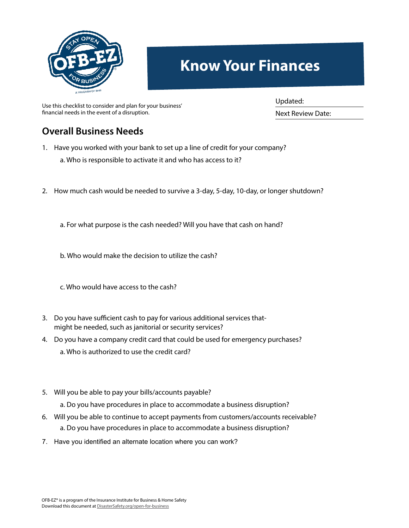

## **Know Your Finances**

Use this checklist to consider and plan for your business' financial needs in the event of a disruption.

Updated:

Next Review Date:

## **Overall Business Needs**

- 1. Have you worked with your bank to set up a line of credit for your company?
	- a. Who is responsible to activate it and who has access to it?
- 2. How much cash would be needed to survive a 3-day, 5-day, 10-day, or longer shutdown?
	- a. For what purpose is the cash needed? Will you have that cash on hand?
	- b. Who would make the decision to utilize the cash?
	- c. Who would have access to the cash?
- 3. Do you have sufficient cash to pay for various additional services thatmight be needed, such as janitorial or security services?
- 4. Do you have a company credit card that could be used for emergency purchases? a. Who is authorized to use the credit card?
- 5. Will you be able to pay your bills/accounts payable?
	- a. Do you have procedures in place to accommodate a business disruption?
- 6. Will you be able to continue to accept payments from customers/accounts receivable? a. Do you have procedures in place to accommodate a business disruption?
- 7. Have you identified an alternate location where you can work?